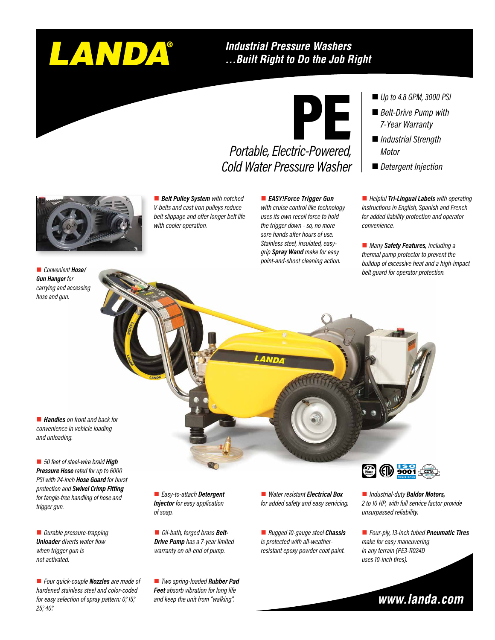# LANDA®

## **Industrial Pressure Washers** ... Built Right to Do the Job Right

# PE

# *Portable, Electric-Powered, Cold Water Pressure Washer*

*Up to 4.8 GPM, 3000 PSI*

- *Belt-Drive Pump with 7-Year Warranty*
- *Industrial Strength Motor*
- *Detergent Injection*

■ *Helpful* **Tri-Lingual Labels** with operating *instructions in English, Spanish and French for added liability protection and operator convenience.*

■ *Many Safety Features, including a thermal pump protector to prevent the buildup of excessive heat and a high-impact belt guard for operator protection.*



■ **Belt Pulley System** with notched *V-belts and cast iron pulleys reduce belt slippage and offer longer belt life with cooler operation.*

**EASY!Force Trigger Gun** 

*with cruise control like technology uses its own recoil force to hold the trigger down - so, no more sore hands after hours of use. Stainless steel, insulated, easygrip Spray Wand make for easy point-and-shoot cleaning action.*

■ *Convenient Hose/ Gun Hanger for carrying and accessing hose and gun.*

■ **Handles** on front and back for *convenience in vehicle loading and unloading.*

■ 50 feet of steel-wire braid **High** *Pressure Hose rated for up to 6000 PSI with 24-inch Hose Guard for burst protection and Swivel Crimp Fitting for tangle-free handling of hose and trigger gun.*

■ *Durable pressure-trapping Unloader diverts water flow when trigger gun is not activated.*

■ *Four quick-couple Nozzles are made of hardened stainless steel and color-coded for easy selection of spray pattern: 0°, 15°, 25°, 40°.*

■ *Easy-to-attach Detergent Injector for easy application of soap.*

■ *Oil-bath, forged brass Belt-Drive Pump has a 7-year limited warranty on oil-end of pump.*

■ *Two spring-loaded Rubber Pad Feet absorb vibration for long life and keep the unit from "walking".*

■ *Water resistant Electrical Box for added safety and easy servicing.*

■ *Rugged 10-gauge steel Chassis is protected with all-weatherresistant epoxy powder coat paint.*



■ *Industrial-duty Baldor Motors*, *2 to 10 HP, with full service factor provide unsurpassed reliability.*

n *Four-ply, 13-inch tubed Pneumatic Tires make for easy maneuvering in any terrain (PE3-11024D uses 10-inch tires).*